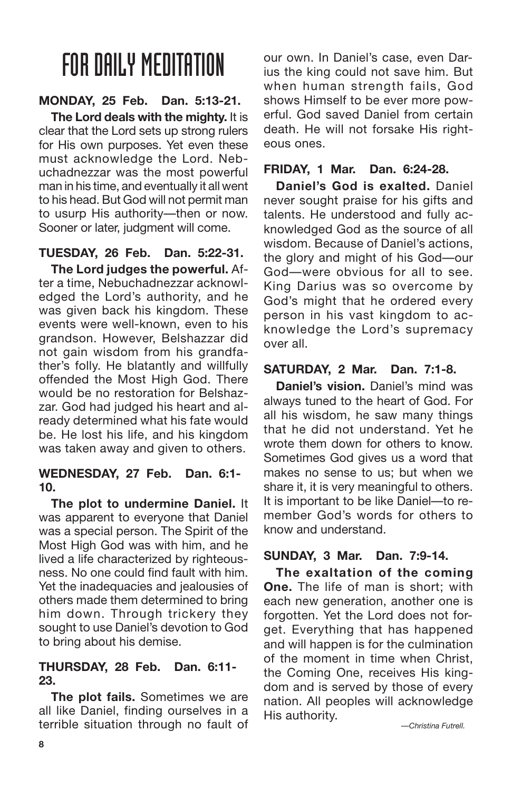# **MONDAY, 25 Feb. Dan. 5:13-21.**

**The Lord deals with the mighty.** It is clear that the Lord sets up strong rulers for His own purposes. Yet even these must acknowledge the Lord. Nebuchadnezzar was the most powerful man in his time, and eventually it all went to his head. But God will not permit man to usurp His authority—then or now. Sooner or later, judgment will come.

# **TUESDAY, 26 Feb. Dan. 5:22-31.**

**The Lord judges the powerful.** After a time, Nebuchadnezzar acknowledged the Lord's authority, and he was given back his kingdom. These events were well-known, even to his grandson. However, Belshazzar did not gain wisdom from his grandfather's folly. He blatantly and willfully offended the Most High God. There would be no restoration for Belshazzar. God had judged his heart and already determined what his fate would be. He lost his life, and his kingdom was taken away and given to others.

#### **WEDNESDAY, 27 Feb. Dan. 6:1- 10.**

**The plot to undermine Daniel.** It was apparent to everyone that Daniel was a special person. The Spirit of the Most High God was with him, and he lived a life characterized by righteousness. No one could find fault with him. Yet the inadequacies and jealousies of others made them determined to bring him down. Through trickery they sought to use Daniel's devotion to God to bring about his demise.

#### **THURSDAY, 28 Feb. Dan. 6:11- 23.**

**The plot fails.** Sometimes we are all like Daniel, finding ourselves in a terrible situation through no fault of our own. In Daniel's case, even Darius the king could not save him. But when human strength fails, God shows Himself to be ever more powerful. God saved Daniel from certain death. He will not forsake His righteous ones.

### **FRIDAY, 1 Mar. Dan. 6:24-28.**

**Daniel's God is exalted.** Daniel never sought praise for his gifts and talents. He understood and fully acknowledged God as the source of all wisdom. Because of Daniel's actions, the glory and might of his God—our God—were obvious for all to see. King Darius was so overcome by God's might that he ordered every person in his vast kingdom to acknowledge the Lord's supremacy over all.

## **SATURDAY, 2 Mar. Dan. 7:1-8.**

**Daniel's vision.** Daniel's mind was always tuned to the heart of God. For all his wisdom, he saw many things that he did not understand. Yet he wrote them down for others to know. Sometimes God gives us a word that makes no sense to us; but when we share it, it is very meaningful to others. It is important to be like Daniel—to remember God's words for others to know and understand.

## **SUNDAY, 3 Mar. Dan. 7:9-14.**

**The exaltation of the coming One.** The life of man is short; with each new generation, another one is forgotten. Yet the Lord does not forget. Everything that has happened and will happen is for the culmination of the moment in time when Christ, the Coming One, receives His kingdom and is served by those of every nation. All peoples will acknowledge His authority.

*—Christina Futrell.*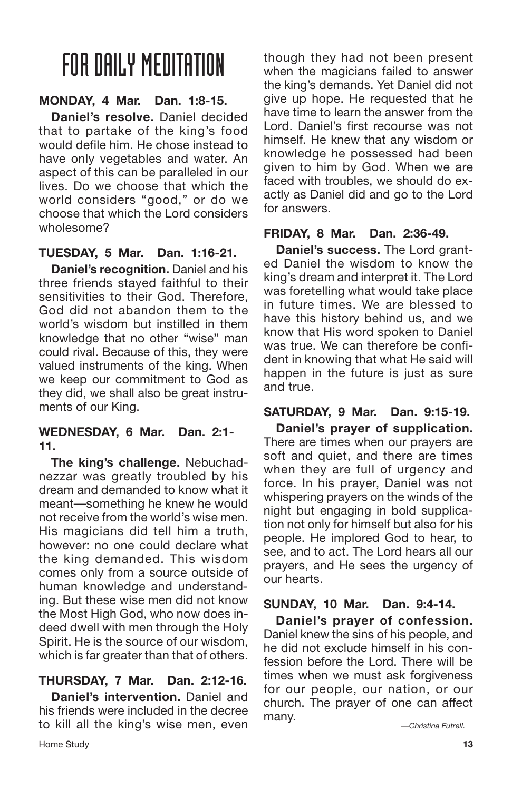# **MONDAY, 4 Mar. Dan. 1:8-15.**

**Daniel's resolve.** Daniel decided that to partake of the king's food would defile him. He chose instead to have only vegetables and water. An aspect of this can be paralleled in our lives. Do we choose that which the world considers "good," or do we choose that which the Lord considers wholesome?

# **TUESDAY, 5 Mar. Dan. 1:16-21.**

**Daniel's recognition.** Daniel and his three friends stayed faithful to their sensitivities to their God. Therefore, God did not abandon them to the world's wisdom but instilled in them knowledge that no other "wise" man could rival. Because of this, they were valued instruments of the king. When we keep our commitment to God as they did, we shall also be great instruments of our King.

#### **WEDNESDAY, 6 Mar. Dan. 2:1- 11.**

**The king's challenge.** Nebuchadnezzar was greatly troubled by his dream and demanded to know what it meant—something he knew he would not receive from the world's wise men. His magicians did tell him a truth, however: no one could declare what the king demanded. This wisdom comes only from a source outside of human knowledge and understanding. But these wise men did not know the Most High God, who now does indeed dwell with men through the Holy Spirit. He is the source of our wisdom, which is far greater than that of others.

## **THURSDAY, 7 Mar. Dan. 2:12-16.**

**Daniel's intervention.** Daniel and his friends were included in the decree to kill all the king's wise men, even though they had not been present when the magicians failed to answer the king's demands. Yet Daniel did not give up hope. He requested that he have time to learn the answer from the Lord. Daniel's first recourse was not himself. He knew that any wisdom or knowledge he possessed had been given to him by God. When we are faced with troubles, we should do exactly as Daniel did and go to the Lord for answers.

#### **FRIDAY, 8 Mar. Dan. 2:36-49.**

**Daniel's success.** The Lord granted Daniel the wisdom to know the king's dream and interpret it. The Lord was foretelling what would take place in future times. We are blessed to have this history behind us, and we know that His word spoken to Daniel was true. We can therefore be confident in knowing that what He said will happen in the future is just as sure and true.

#### **SATURDAY, 9 Mar. Dan. 9:15-19.**

**Daniel's prayer of supplication.** There are times when our prayers are soft and quiet, and there are times when they are full of urgency and force. In his prayer, Daniel was not whispering prayers on the winds of the night but engaging in bold supplication not only for himself but also for his people. He implored God to hear, to see, and to act. The Lord hears all our prayers, and He sees the urgency of our hearts.

#### **SUNDAY, 10 Mar. Dan. 9:4-14.**

**Daniel's prayer of confession.** Daniel knew the sins of his people, and he did not exclude himself in his confession before the Lord. There will be times when we must ask forgiveness for our people, our nation, or our church. The prayer of one can affect many. *—Christina Futrell.*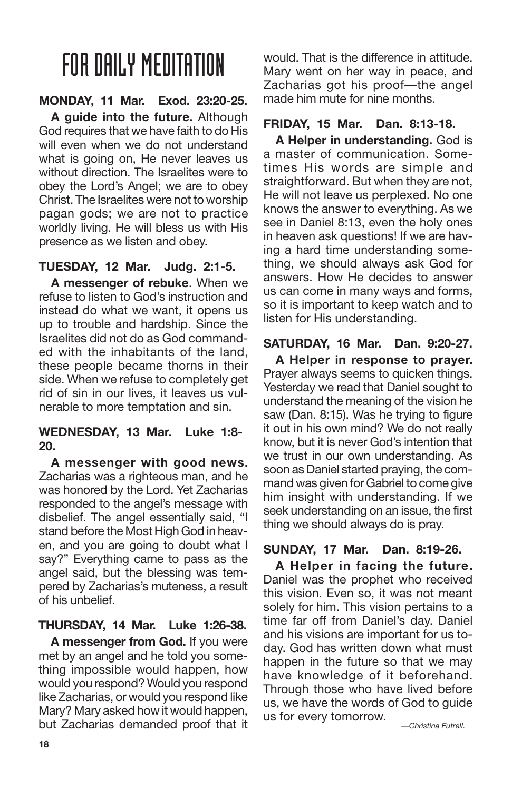# **MONDAY, 11 Mar. Exod. 23:20-25.**

**A guide into the future.** Although God requires that we have faith to do His will even when we do not understand what is going on, He never leaves us without direction. The Israelites were to obey the Lord's Angel; we are to obey Christ. The Israelites were not to worship pagan gods; we are not to practice worldly living. He will bless us with His presence as we listen and obey.

### **TUESDAY, 12 Mar. Judg. 2:1-5.**

**A messenger of rebuke**. When we refuse to listen to God's instruction and instead do what we want, it opens us up to trouble and hardship. Since the Israelites did not do as God commanded with the inhabitants of the land, these people became thorns in their side. When we refuse to completely get rid of sin in our lives, it leaves us vulnerable to more temptation and sin.

#### **WEDNESDAY, 13 Mar. Luke 1:8- 20.**

**A messenger with good news.** Zacharias was a righteous man, and he was honored by the Lord. Yet Zacharias responded to the angel's message with disbelief. The angel essentially said, "I stand before the Most High God in heaven, and you are going to doubt what I say?" Everything came to pass as the angel said, but the blessing was tempered by Zacharias's muteness, a result of his unbelief.

## **THURSDAY, 14 Mar. Luke 1:26-38.**

**A messenger from God.** If you were met by an angel and he told you something impossible would happen, how would you respond? Would you respond like Zacharias, or would you respond like Mary? Mary asked how it would happen, but Zacharias demanded proof that it would. That is the difference in attitude. Mary went on her way in peace, and Zacharias got his proof—the angel made him mute for nine months.

#### **FRIDAY, 15 Mar. Dan. 8:13-18.**

**A Helper in understanding.** God is a master of communication. Sometimes His words are simple and straightforward. But when they are not, He will not leave us perplexed. No one knows the answer to everything. As we see in Daniel 8:13, even the holy ones in heaven ask questions! If we are having a hard time understanding something, we should always ask God for answers. How He decides to answer us can come in many ways and forms, so it is important to keep watch and to listen for His understanding.

## **SATURDAY, 16 Mar. Dan. 9:20-27.**

**A Helper in response to prayer.** Prayer always seems to quicken things. Yesterday we read that Daniel sought to understand the meaning of the vision he saw (Dan. 8:15). Was he trying to figure it out in his own mind? We do not really know, but it is never God's intention that we trust in our own understanding. As soon as Daniel started praying, the command was given for Gabriel to come give him insight with understanding. If we seek understanding on an issue, the first thing we should always do is pray.

## **SUNDAY, 17 Mar. Dan. 8:19-26.**

**A Helper in facing the future.** Daniel was the prophet who received this vision. Even so, it was not meant solely for him. This vision pertains to a time far off from Daniel's day. Daniel and his visions are important for us today. God has written down what must happen in the future so that we may have knowledge of it beforehand. Through those who have lived before us, we have the words of God to guide us for every tomorrow. *—Christina Futrell.*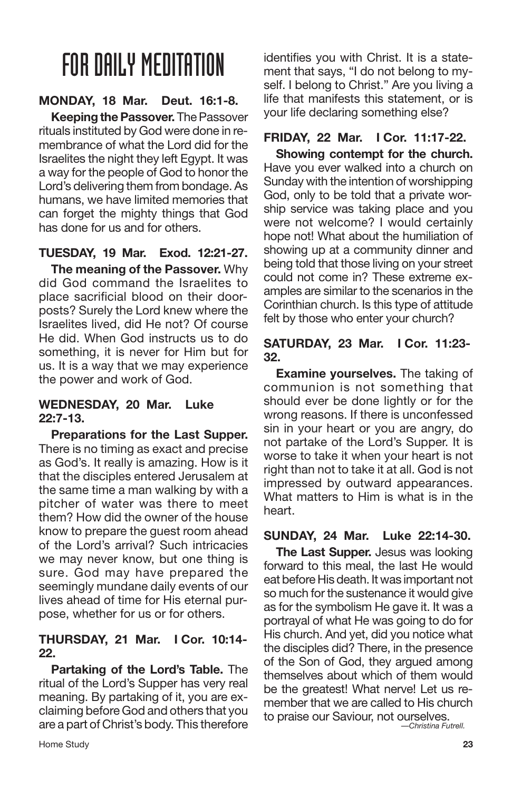# **MONDAY, 18 Mar. Deut. 16:1-8.**

**Keeping the Passover.** The Passover rituals instituted by God were done in remembrance of what the Lord did for the Israelites the night they left Egypt. It was a way for the people of God to honor the Lord's delivering them from bondage. As humans, we have limited memories that can forget the mighty things that God has done for us and for others.

## **TUESDAY, 19 Mar. Exod. 12:21-27.**

**The meaning of the Passover.** Why did God command the Israelites to place sacrificial blood on their doorposts? Surely the Lord knew where the Israelites lived, did He not? Of course He did. When God instructs us to do something, it is never for Him but for us. It is a way that we may experience the power and work of God.

#### **WEDNESDAY, 20 Mar. Luke 22:7-13.**

**Preparations for the Last Supper.** There is no timing as exact and precise as God's. It really is amazing. How is it that the disciples entered Jerusalem at the same time a man walking by with a pitcher of water was there to meet them? How did the owner of the house know to prepare the guest room ahead of the Lord's arrival? Such intricacies we may never know, but one thing is sure. God may have prepared the seemingly mundane daily events of our lives ahead of time for His eternal purpose, whether for us or for others.

#### **THURSDAY, 21 Mar. I Cor. 10:14- 22.**

**Partaking of the Lord's Table.** The ritual of the Lord's Supper has very real meaning. By partaking of it, you are exclaiming before God and others that you are a part of Christ's body. This therefore identifies you with Christ. It is a statement that says, "I do not belong to myself. I belong to Christ." Are you living a life that manifests this statement, or is your life declaring something else?

### **FRIDAY, 22 Mar. I Cor. 11:17-22.**

**Showing contempt for the church.** Have you ever walked into a church on Sunday with the intention of worshipping God, only to be told that a private worship service was taking place and you were not welcome? I would certainly hope not! What about the humiliation of showing up at a community dinner and being told that those living on your street could not come in? These extreme examples are similar to the scenarios in the Corinthian church. Is this type of attitude felt by those who enter your church?

#### **SATURDAY, 23 Mar. I Cor. 11:23- 32.**

**Examine yourselves.** The taking of communion is not something that should ever be done lightly or for the wrong reasons. If there is unconfessed sin in your heart or you are angry, do not partake of the Lord's Supper. It is worse to take it when your heart is not right than not to take it at all. God is not impressed by outward appearances. What matters to Him is what is in the heart.

#### **SUNDAY, 24 Mar. Luke 22:14-30.**

**The Last Supper.** Jesus was looking forward to this meal, the last He would eat before His death. It was important not so much for the sustenance it would give as for the symbolism He gave it. It was a portrayal of what He was going to do for His church. And yet, did you notice what the disciples did? There, in the presence of the Son of God, they argued among themselves about which of them would be the greatest! What nerve! Let us remember that we are called to His church to praise our Saviour, not ourselves. *—Christina Futrell.*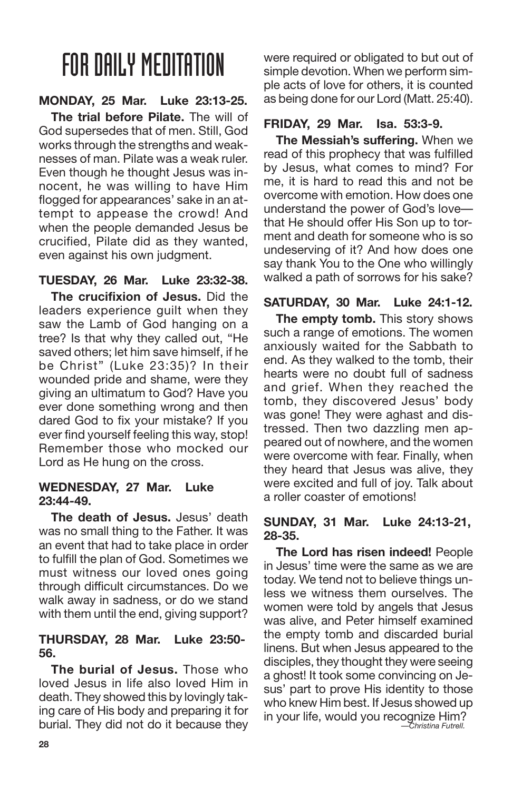# **MONDAY, 25 Mar. Luke 23:13-25.**

**The trial before Pilate.** The will of God supersedes that of men. Still, God works through the strengths and weaknesses of man. Pilate was a weak ruler. Even though he thought Jesus was innocent, he was willing to have Him flogged for appearances' sake in an attempt to appease the crowd! And when the people demanded Jesus be crucified, Pilate did as they wanted, even against his own judgment.

### **TUESDAY, 26 Mar. Luke 23:32-38.**

**The crucifixion of Jesus.** Did the leaders experience guilt when they saw the Lamb of God hanging on a tree? Is that why they called out, "He saved others; let him save himself, if he be Christ" (Luke 23:35)? In their wounded pride and shame, were they giving an ultimatum to God? Have you ever done something wrong and then dared God to fix your mistake? If you ever find yourself feeling this way, stop! Remember those who mocked our Lord as He hung on the cross.

#### **WEDNESDAY, 27 Mar. Luke 23:44-49.**

**The death of Jesus.** Jesus' death was no small thing to the Father. It was an event that had to take place in order to fulfill the plan of God. Sometimes we must witness our loved ones going through difficult circumstances. Do we walk away in sadness, or do we stand with them until the end, giving support?

#### **THURSDAY, 28 Mar. Luke 23:50- 56.**

**The burial of Jesus.** Those who loved Jesus in life also loved Him in death. They showed this by lovingly taking care of His body and preparing it for burial. They did not do it because they were required or obligated to but out of simple devotion. When we perform simple acts of love for others, it is counted as being done for our Lord (Matt. 25:40).

#### **FRIDAY, 29 Mar. Isa. 53:3-9.**

**The Messiah's suffering.** When we read of this prophecy that was fulfilled by Jesus, what comes to mind? For me, it is hard to read this and not be overcome with emotion. How does one understand the power of God's love that He should offer His Son up to torment and death for someone who is so undeserving of it? And how does one say thank You to the One who willingly walked a path of sorrows for his sake?

### **SATURDAY, 30 Mar. Luke 24:1-12.**

**The empty tomb.** This story shows such a range of emotions. The women anxiously waited for the Sabbath to end. As they walked to the tomb, their hearts were no doubt full of sadness and grief. When they reached the tomb, they discovered Jesus' body was gone! They were aghast and distressed. Then two dazzling men appeared out of nowhere, and the women were overcome with fear. Finally, when they heard that Jesus was alive, they were excited and full of joy. Talk about a roller coaster of emotions!

#### **SUNDAY, 31 Mar. Luke 24:13-21, 28-35.**

**The Lord has risen indeed!** People in Jesus' time were the same as we are today. We tend not to believe things unless we witness them ourselves. The women were told by angels that Jesus was alive, and Peter himself examined the empty tomb and discarded burial linens. But when Jesus appeared to the disciples, they thought they were seeing a ghost! It took some convincing on Jesus' part to prove His identity to those who knew Him best. If Jesus showed up in your life, would you recognize Him? *—Christina Futrell.*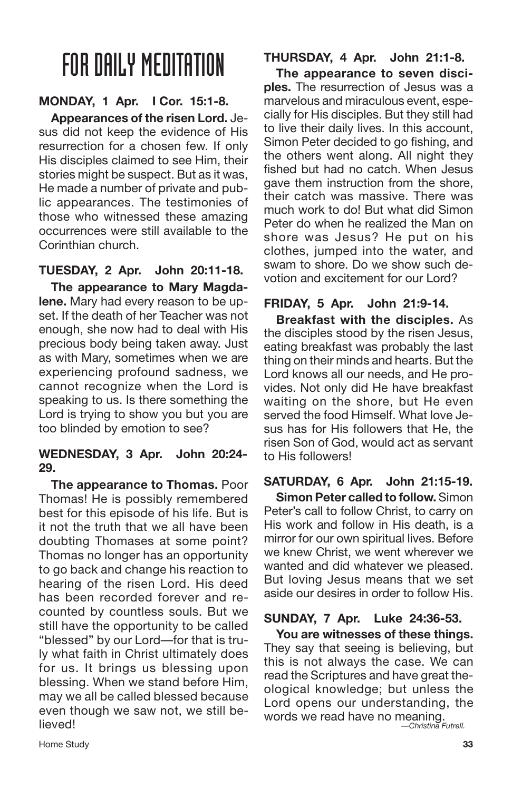# **MONDAY, 1 Apr. I Cor. 15:1-8.**

**Appearances of the risen Lord.** Jesus did not keep the evidence of His resurrection for a chosen few. If only His disciples claimed to see Him, their stories might be suspect. But as it was, He made a number of private and public appearances. The testimonies of those who witnessed these amazing occurrences were still available to the Corinthian church.

### **TUESDAY, 2 Apr. John 20:11-18.**

**The appearance to Mary Magdalene.** Mary had every reason to be upset. If the death of her Teacher was not enough, she now had to deal with His precious body being taken away. Just as with Mary, sometimes when we are experiencing profound sadness, we cannot recognize when the Lord is speaking to us. Is there something the Lord is trying to show you but you are too blinded by emotion to see?

#### **WEDNESDAY, 3 Apr. John 20:24- 29.**

**The appearance to Thomas.** Poor Thomas! He is possibly remembered best for this episode of his life. But is it not the truth that we all have been doubting Thomases at some point? Thomas no longer has an opportunity to go back and change his reaction to hearing of the risen Lord. His deed has been recorded forever and recounted by countless souls. But we still have the opportunity to be called "blessed" by our Lord—for that is truly what faith in Christ ultimately does for us. It brings us blessing upon blessing. When we stand before Him, may we all be called blessed because even though we saw not, we still believed!

## **THURSDAY, 4 Apr. John 21:1-8.**

**The appearance to seven disciples.** The resurrection of Jesus was a marvelous and miraculous event, especially for His disciples. But they still had to live their daily lives. In this account, Simon Peter decided to go fishing, and the others went along. All night they fished but had no catch. When Jesus gave them instruction from the shore, their catch was massive. There was much work to do! But what did Simon Peter do when he realized the Man on shore was Jesus? He put on his clothes, jumped into the water, and swam to shore. Do we show such devotion and excitement for our Lord?

#### **FRIDAY, 5 Apr. John 21:9-14.**

**Breakfast with the disciples.** As the disciples stood by the risen Jesus, eating breakfast was probably the last thing on their minds and hearts. But the Lord knows all our needs, and He provides. Not only did He have breakfast waiting on the shore, but He even served the food Himself. What love Jesus has for His followers that He, the risen Son of God, would act as servant to His followers!

#### **SATURDAY, 6 Apr. John 21:15-19.**

**Simon Peter called to follow.** Simon Peter's call to follow Christ, to carry on His work and follow in His death, is a mirror for our own spiritual lives. Before we knew Christ, we went wherever we wanted and did whatever we pleased. But loving Jesus means that we set aside our desires in order to follow His.

## **SUNDAY, 7 Apr. Luke 24:36-53.**

**You are witnesses of these things.** They say that seeing is believing, but this is not always the case. We can read the Scriptures and have great theological knowledge; but unless the Lord opens our understanding, the words we read have no meaning. *—Christina Futrell.*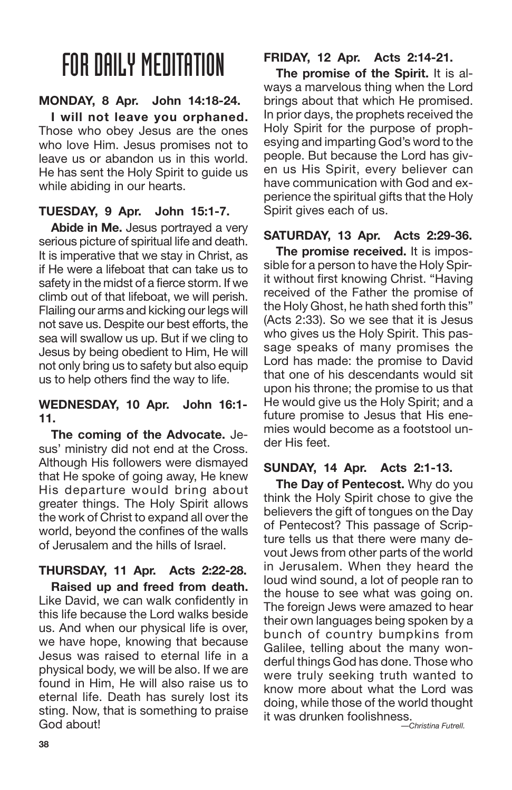# **MONDAY, 8 Apr. John 14:18-24.**

**I will not leave you orphaned.** Those who obey Jesus are the ones who love Him. Jesus promises not to leave us or abandon us in this world. He has sent the Holy Spirit to guide us while abiding in our hearts.

# **TUESDAY, 9 Apr. John 15:1-7.**

**Abide in Me.** Jesus portrayed a very serious picture of spiritual life and death. It is imperative that we stay in Christ, as if He were a lifeboat that can take us to safety in the midst of a fierce storm. If we climb out of that lifeboat, we will perish. Flailing our arms and kicking our legs will not save us. Despite our best efforts, the sea will swallow us up. But if we cling to Jesus by being obedient to Him, He will not only bring us to safety but also equip us to help others find the way to life.

#### **WEDNESDAY, 10 Apr. John 16:1- 11.**

**The coming of the Advocate.** Jesus' ministry did not end at the Cross. Although His followers were dismayed that He spoke of going away, He knew His departure would bring about greater things. The Holy Spirit allows the work of Christ to expand all over the world, beyond the confines of the walls of Jerusalem and the hills of Israel.

## **THURSDAY, 11 Apr. Acts 2:22-28.**

**Raised up and freed from death.** Like David, we can walk confidently in this life because the Lord walks beside us. And when our physical life is over, we have hope, knowing that because Jesus was raised to eternal life in a physical body, we will be also. If we are found in Him, He will also raise us to eternal life. Death has surely lost its sting. Now, that is something to praise God about!

# **FRIDAY, 12 Apr. Acts 2:14-21.**

**The promise of the Spirit.** It is always a marvelous thing when the Lord brings about that which He promised. In prior days, the prophets received the Holy Spirit for the purpose of prophesying and imparting God's word to the people. But because the Lord has given us His Spirit, every believer can have communication with God and experience the spiritual gifts that the Holy Spirit gives each of us.

## **SATURDAY, 13 Apr. Acts 2:29-36.**

**The promise received.** It is impossible for a person to have the Holy Spirit without first knowing Christ. "Having received of the Father the promise of the Holy Ghost, he hath shed forth this" (Acts 2:33). So we see that it is Jesus who gives us the Holy Spirit. This passage speaks of many promises the Lord has made: the promise to David that one of his descendants would sit upon his throne; the promise to us that He would give us the Holy Spirit; and a future promise to Jesus that His enemies would become as a footstool under His feet.

#### **SUNDAY, 14 Apr. Acts 2:1-13.**

**The Day of Pentecost.** Why do you think the Holy Spirit chose to give the believers the gift of tongues on the Day of Pentecost? This passage of Scripture tells us that there were many devout Jews from other parts of the world in Jerusalem. When they heard the loud wind sound, a lot of people ran to the house to see what was going on. The foreign Jews were amazed to hear their own languages being spoken by a bunch of country bumpkins from Galilee, telling about the many wonderful things God has done. Those who were truly seeking truth wanted to know more about what the Lord was doing, while those of the world thought it was drunken foolishness.

*—Christina Futrell.*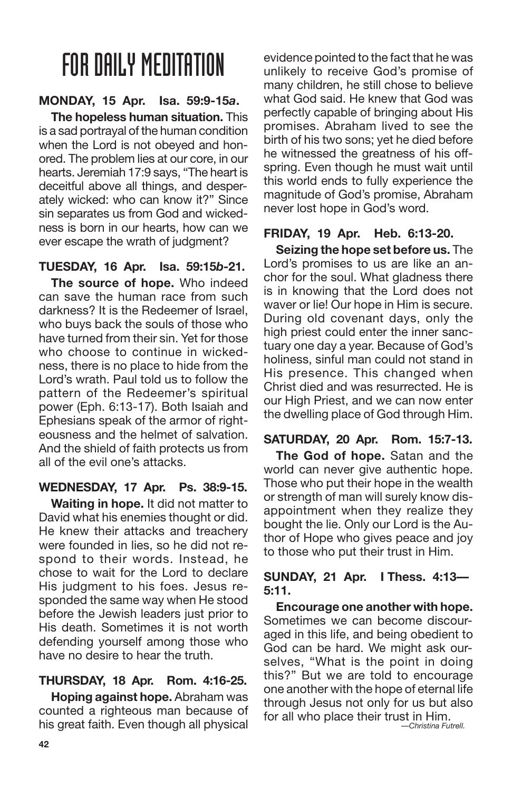# **MONDAY, 15 Apr. Isa. 59:9-15***a***.**

**The hopeless human situation.** This is a sad portrayal of the human condition when the Lord is not obeyed and honored. The problem lies at our core, in our hearts. Jeremiah 17:9 says, "The heart is deceitful above all things, and desperately wicked: who can know it?" Since sin separates us from God and wickedness is born in our hearts, how can we ever escape the wrath of judgment?

### **TUESDAY, 16 Apr. Isa. 59:15***b***-21.**

**The source of hope.** Who indeed can save the human race from such darkness? It is the Redeemer of Israel, who buys back the souls of those who have turned from their sin. Yet for those who choose to continue in wickedness, there is no place to hide from the Lord's wrath. Paul told us to follow the pattern of the Redeemer's spiritual power (Eph. 6:13-17). Both Isaiah and Ephesians speak of the armor of righteousness and the helmet of salvation. And the shield of faith protects us from all of the evil one's attacks.

#### **WEDNESDAY, 17 Apr. Ps. 38:9-15.**

**Waiting in hope.** It did not matter to David what his enemies thought or did. He knew their attacks and treachery were founded in lies, so he did not respond to their words. Instead, he chose to wait for the Lord to declare His judgment to his foes. Jesus responded the same way when He stood before the Jewish leaders just prior to His death. Sometimes it is not worth defending yourself among those who have no desire to hear the truth.

## **THURSDAY, 18 Apr. Rom. 4:16-25.**

**Hoping against hope.** Abraham was counted a righteous man because of his great faith. Even though all physical evidence pointed to the fact that he was unlikely to receive God's promise of many children, he still chose to believe what God said. He knew that God was perfectly capable of bringing about His promises. Abraham lived to see the birth of his two sons; yet he died before he witnessed the greatness of his offspring. Even though he must wait until this world ends to fully experience the magnitude of God's promise, Abraham never lost hope in God's word.

## **FRIDAY, 19 Apr. Heb. 6:13-20.**

**Seizing the hope set before us.** The Lord's promises to us are like an anchor for the soul. What gladness there is in knowing that the Lord does not waver or lie! Our hope in Him is secure. During old covenant days, only the high priest could enter the inner sanctuary one day a year. Because of God's holiness, sinful man could not stand in His presence. This changed when Christ died and was resurrected. He is our High Priest, and we can now enter the dwelling place of God through Him.

#### **SATURDAY, 20 Apr. Rom. 15:7-13.**

**The God of hope.** Satan and the world can never give authentic hope. Those who put their hope in the wealth or strength of man will surely know disappointment when they realize they bought the lie. Only our Lord is the Author of Hope who gives peace and joy to those who put their trust in Him.

#### **SUNDAY, 21 Apr. I Thess. 4:13— 5:11.**

**Encourage one another with hope.** Sometimes we can become discouraged in this life, and being obedient to God can be hard. We might ask ourselves, "What is the point in doing this?" But we are told to encourage one another with the hope of eternal life through Jesus not only for us but also for all who place their trust in Him. *—Christina Futrell.*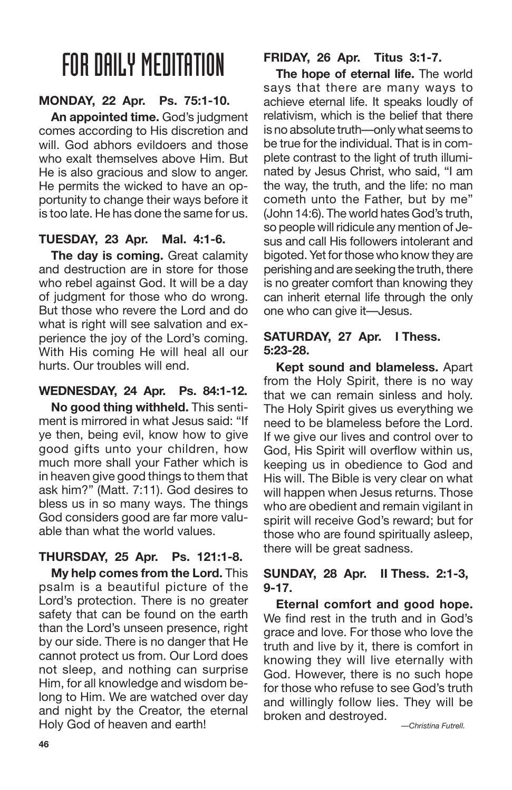# **MONDAY, 22 Apr. Ps. 75:1-10.**

**An appointed time.** God's judgment comes according to His discretion and will. God abhors evildoers and those who exalt themselves above Him. But He is also gracious and slow to anger. He permits the wicked to have an opportunity to change their ways before it is too late. He has done the same for us.

## **TUESDAY, 23 Apr. Mal. 4:1-6.**

**The day is coming.** Great calamity and destruction are in store for those who rebel against God. It will be a day of judgment for those who do wrong. But those who revere the Lord and do what is right will see salvation and experience the joy of the Lord's coming. With His coming He will heal all our hurts. Our troubles will end.

# **WEDNESDAY, 24 Apr. Ps. 84:1-12.**

**No good thing withheld.** This sentiment is mirrored in what Jesus said: "If ye then, being evil, know how to give good gifts unto your children, how much more shall your Father which is in heaven give good things to them that ask him?" (Matt. 7:11). God desires to bless us in so many ways. The things God considers good are far more valuable than what the world values.

# **THURSDAY, 25 Apr. Ps. 121:1-8.**

**My help comes from the Lord.** This psalm is a beautiful picture of the Lord's protection. There is no greater safety that can be found on the earth than the Lord's unseen presence, right by our side. There is no danger that He cannot protect us from. Our Lord does not sleep, and nothing can surprise Him, for all knowledge and wisdom belong to Him. We are watched over day and night by the Creator, the eternal Holy God of heaven and earth!

# **FRIDAY, 26 Apr. Titus 3:1-7.**

**The hope of eternal life.** The world says that there are many ways to achieve eternal life. It speaks loudly of relativism, which is the belief that there is no absolute truth—onlywhat seems to be true for the individual. That is in complete contrast to the light of truth illuminated by Jesus Christ, who said, "I am the way, the truth, and the life: no man cometh unto the Father, but by me" (John 14:6). The world hates God's truth, so people will ridicule any mention of Jesus and call His followers intolerant and bigoted.Yet forthose who know they are perishing and are seeking the truth, there is no greater comfort than knowing they can inherit eternal life through the only one who can give it—Jesus.

#### **SATURDAY, 27 Apr. I Thess. 5:23-28.**

**Kept sound and blameless.** Apart from the Holy Spirit, there is no way that we can remain sinless and holy. The Holy Spirit gives us everything we need to be blameless before the Lord. If we give our lives and control over to God, His Spirit will overflow within us, keeping us in obedience to God and His will. The Bible is very clear on what will happen when Jesus returns. Those who are obedient and remain vigilant in spirit will receive God's reward; but for those who are found spiritually asleep, there will be great sadness.

#### **SUNDAY, 28 Apr. II Thess. 2:1-3, 9-17.**

**Eternal comfort and good hope.** We find rest in the truth and in God's grace and love. For those who love the truth and live by it, there is comfort in knowing they will live eternally with God. However, there is no such hope for those who refuse to see God's truth and willingly follow lies. They will be broken and destroyed. *—Christina Futrell.*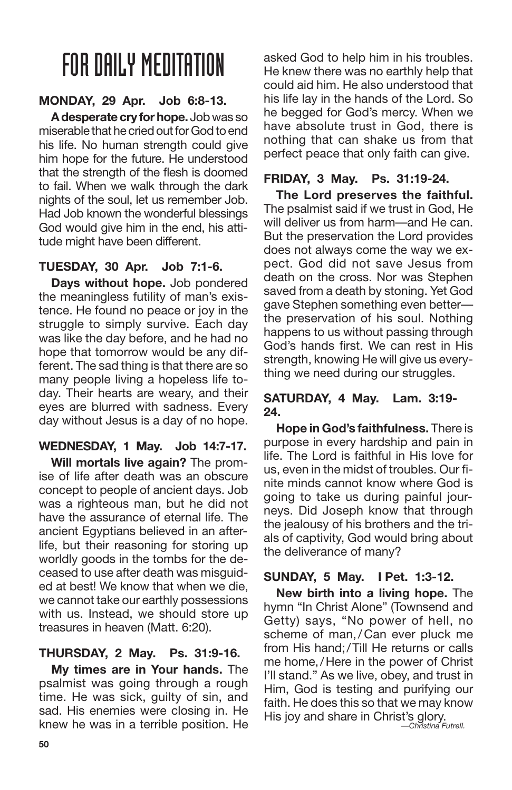# **MONDAY, 29 Apr. Job 6:8-13.**

**Adesperate cry forhope.** Jobwas so miserable that he cried out for God to end his life. No human strength could give him hope for the future. He understood that the strength of the flesh is doomed to fail. When we walk through the dark nights of the soul, let us remember Job. Had Job known the wonderful blessings God would give him in the end, his attitude might have been different.

## **TUESDAY, 30 Apr. Job 7:1-6.**

**Days without hope.** Job pondered the meaningless futility of man's existence. He found no peace or joy in the struggle to simply survive. Each day was like the day before, and he had no hope that tomorrow would be any different. The sad thing is that there are so many people living a hopeless life today. Their hearts are weary, and their eyes are blurred with sadness. Every day without Jesus is a day of no hope.

## **WEDNESDAY, 1 May. Job 14:7-17.**

**Will mortals live again?** The promise of life after death was an obscure concept to people of ancient days. Job was a righteous man, but he did not have the assurance of eternal life. The ancient Egyptians believed in an afterlife, but their reasoning for storing up worldly goods in the tombs for the deceased to use after death was misguided at best! We know that when we die, we cannot take our earthly possessions with us. Instead, we should store up treasures in heaven (Matt. 6:20).

## **THURSDAY, 2 May. Ps. 31:9-16.**

**My times are in Your hands.** The psalmist was going through a rough time. He was sick, guilty of sin, and sad. His enemies were closing in. He knew he was in a terrible position. He

asked God to help him in his troubles. He knew there was no earthly help that could aid him. He also understood that his life lay in the hands of the Lord. So he begged for God's mercy. When we have absolute trust in God, there is nothing that can shake us from that perfect peace that only faith can give.

#### **FRIDAY, 3 May. Ps. 31:19-24.**

**The Lord preserves the faithful.** The psalmist said if we trust in God, He will deliver us from harm—and He can. But the preservation the Lord provides does not always come the way we expect. God did not save Jesus from death on the cross. Nor was Stephen saved from a death by stoning. Yet God gave Stephen something even better the preservation of his soul. Nothing happens to us without passing through God's hands first. We can rest in His strength, knowing He will give us everything we need during our struggles.

#### **SATURDAY, 4 May. Lam. 3:19- 24.**

**Hope in God's faithfulness.** There is purpose in every hardship and pain in life. The Lord is faithful in His love for us, even in the midst of troubles. Our finite minds cannot know where God is going to take us during painful journeys. Did Joseph know that through the jealousy of his brothers and the trials of captivity, God would bring about the deliverance of many?

## **SUNDAY, 5 May. I Pet. 1:3-12.**

**New birth into a living hope.** The hymn "In Christ Alone" (Townsend and Getty) says, "No power of hell, no scheme of man,/Can ever pluck me from His hand;/Till He returns or calls me home,/Here in the power of Christ I'll stand." As we live, obey, and trust in Him, God is testing and purifying our faith. He does this so that we may know His joy and share in Christ's glory. *—Christina Futrell.*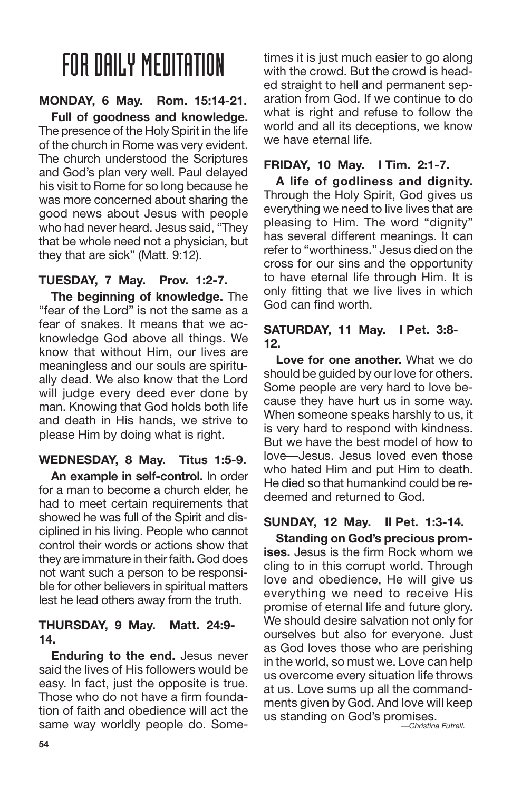# **MONDAY, 6 May. Rom. 15:14-21.**

**Full of goodness and knowledge.** The presence of the Holy Spirit in the life of the church in Rome was very evident. The church understood the Scriptures and God's plan very well. Paul delayed his visit to Rome for so long because he was more concerned about sharing the good news about Jesus with people who had never heard. Jesus said, "They that be whole need not a physician, but they that are sick" (Matt. 9:12).

### **TUESDAY, 7 May. Prov. 1:2-7.**

**The beginning of knowledge.** The "fear of the Lord" is not the same as a fear of snakes. It means that we acknowledge God above all things. We know that without Him, our lives are meaningless and our souls are spiritually dead. We also know that the Lord will judge every deed ever done by man. Knowing that God holds both life and death in His hands, we strive to please Him by doing what is right.

## **WEDNESDAY, 8 May. Titus 1:5-9.**

**An example in self-control.** In order for a man to become a church elder, he had to meet certain requirements that showed he was full of the Spirit and disciplined in his living. People who cannot control their words or actions show that they are immature in their faith. God does not want such a person to be responsible for other believers in spiritual matters lest he lead others away from the truth.

#### **THURSDAY, 9 May. Matt. 24:9- 14.**

**Enduring to the end.** Jesus never said the lives of His followers would be easy. In fact, just the opposite is true. Those who do not have a firm foundation of faith and obedience will act the same way worldly people do. Sometimes it is just much easier to go along with the crowd. But the crowd is headed straight to hell and permanent separation from God. If we continue to do what is right and refuse to follow the world and all its deceptions, we know we have eternal life.

### **FRIDAY, 10 May. I Tim. 2:1-7.**

**A life of godliness and dignity.** Through the Holy Spirit, God gives us everything we need to live lives that are pleasing to Him. The word "dignity" has several different meanings. It can refer to "worthiness." Jesus died on the cross for our sins and the opportunity to have eternal life through Him. It is only fitting that we live lives in which God can find worth.

#### **SATURDAY, 11 May. I Pet. 3:8- 12.**

**Love for one another.** What we do should be guided by our love for others. Some people are very hard to love because they have hurt us in some way. When someone speaks harshly to us, it is very hard to respond with kindness. But we have the best model of how to love—Jesus. Jesus loved even those who hated Him and put Him to death. He died so that humankind could be redeemed and returned to God.

# **SUNDAY, 12 May. II Pet. 1:3-14.**

**Standing on God's precious promises.** Jesus is the firm Rock whom we cling to in this corrupt world. Through love and obedience, He will give us everything we need to receive His promise of eternal life and future glory. We should desire salvation not only for ourselves but also for everyone. Just as God loves those who are perishing in the world, so must we. Love can help us overcome every situation life throws at us. Love sums up all the commandments given by God. And love will keep us standing on God's promises. *—Christina Futrell.*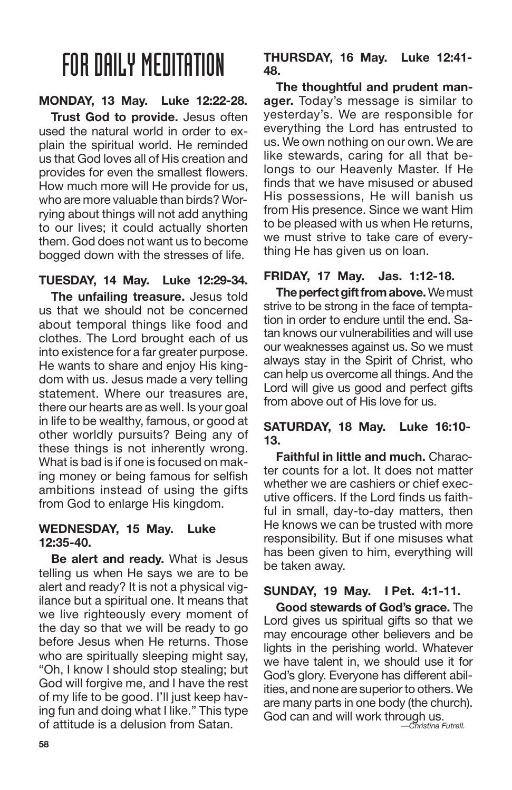## **MONDAY, 13 May. Luke 12:22-28.**

**Trust God to provide.** Jesus often used the natural world in order to explain the spiritual world. He reminded us that God loves all of His creation and provides for even the smallest flowers. How much more will He provide for us, who are more valuable than birds? Worrying about things will not add anything to our lives; it could actually shorten them. God does not want us to become bogged down with the stresses of life.

### **TUESDAY, 14 May. Luke 12:29-34.**

**The unfailing treasure.** Jesus told us that we should not be concerned about temporal things like food and clothes. The Lord brought each of us into existence for a far greater purpose. He wants to share and enjoy His kingdom with us. Jesus made a very telling statement. Where our treasures are, there our hearts are as well. Is your goal in life to be wealthy, famous, or good at other worldly pursuits? Being any of these things is not inherently wrong. What is bad is if one is focused on making money or being famous for selfish ambitions instead of using the gifts from God to enlarge His kingdom.

#### **WEDNESDAY, 15 May. Luke 12:35-40.**

**Be alert and ready.** What is Jesus telling us when He says we are to be alert and ready? It is not a physical vigilance but a spiritual one. It means that we live righteously every moment of the day so that we will be ready to go before Jesus when He returns. Those who are spiritually sleeping might say, "Oh, I know I should stop stealing; but God will forgive me, and I have the rest of my life to be good. I'll just keep having fun and doing what I like." This type of attitude is a delusion from Satan.

#### **THURSDAY, 16 May. Luke 12:41- 48.**

**The thoughtful and prudent manager.** Today's message is similar to yesterday's. We are responsible for everything the Lord has entrusted to us. We own nothing on our own. We are like stewards, caring for all that belongs to our Heavenly Master. If He finds that we have misused or abused His possessions, He will banish us from His presence. Since we want Him to be pleased with us when He returns, we must strive to take care of everything He has given us on loan.

### **FRIDAY, 17 May. Jas. 1:12-18.**

**The perfect gift from above.** We must strive to be strong in the face of temptation in order to endure until the end. Satan knows our vulnerabilities and will use our weaknesses against us. So we must always stay in the Spirit of Christ, who can help us overcome all things. And the Lord will give us good and perfect gifts from above out of His love for us.

#### **SATURDAY, 18 May. Luke 16:10- 13.**

**Faithful in little and much.** Character counts for a lot. It does not matter whether we are cashiers or chief executive officers. If the Lord finds us faithful in small, day-to-day matters, then He knows we can be trusted with more responsibility. But if one misuses what has been given to him, everything will be taken away.

#### **SUNDAY, 19 May. I Pet. 4:1-11.**

**Good stewards of God's grace.** The Lord gives us spiritual gifts so that we may encourage other believers and be lights in the perishing world. Whatever we have talent in, we should use it for God's glory. Everyone has different abilities, and none are superior to others. We are many parts in one body (the church). God can and will work through us. *—Christina Futrell.*